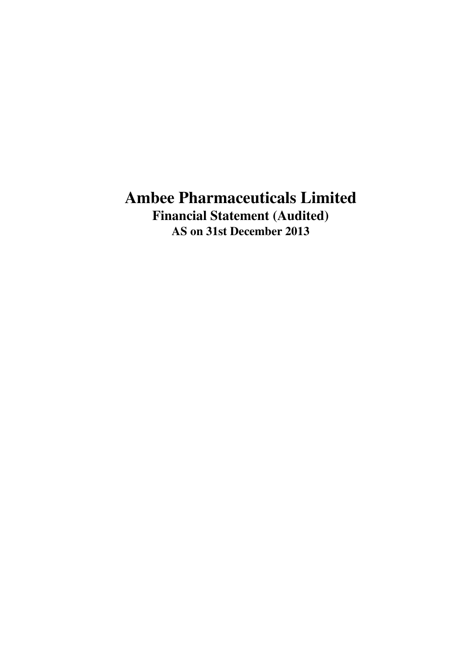# **Ambee Pharmaceuticals Limited Financial Statement (Audited) AS on 31st December 2013**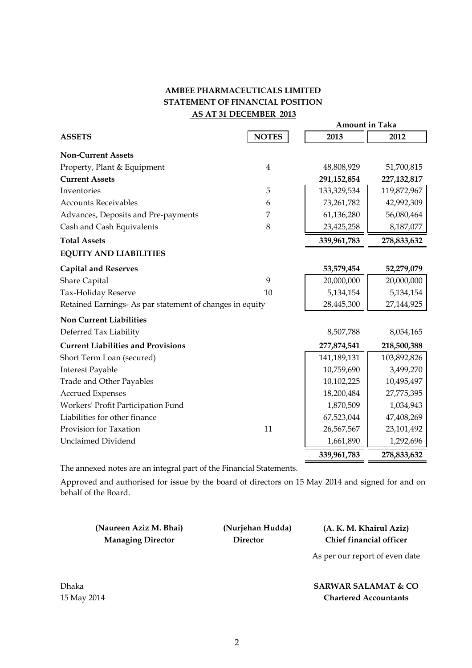# **AMBEE PHARMACEUTICALS LIMITED STATEMENT OF FINANCIAL POSITION AS AT 31 DECEMBER 2013**

|                                                          |                | <b>Amount in Taka</b> |               |
|----------------------------------------------------------|----------------|-----------------------|---------------|
| <b>ASSETS</b>                                            | <b>NOTES</b>   | 2013                  | 2012          |
| <b>Non-Current Assets</b>                                |                |                       |               |
| Property, Plant & Equipment                              | $\overline{4}$ | 48,808,929            | 51,700,815    |
| <b>Current Assets</b>                                    |                | 291,152,854           | 227, 132, 817 |
| Inventories                                              | 5              | 133,329,534           | 119,872,967   |
| <b>Accounts Receivables</b>                              | 6              | 73,261,782            | 42,992,309    |
| Advances, Deposits and Pre-payments                      | 7              | 61,136,280            | 56,080,464    |
| Cash and Cash Equivalents                                | 8              | 23,425,258            | 8,187,077     |
| <b>Total Assets</b>                                      |                | 339,961,783           | 278,833,632   |
| <b>EQUITY AND LIABILITIES</b>                            |                |                       |               |
| <b>Capital and Reserves</b>                              |                | 53,579,454            | 52,279,079    |
| <b>Share Capital</b>                                     | 9              | 20,000,000            | 20,000,000    |
| Tax-Holiday Reserve                                      | 10             | 5,134,154             | 5,134,154     |
| Retained Earnings- As par statement of changes in equity |                | 28,445,300            | 27,144,925    |
| <b>Non Current Liabilities</b>                           |                |                       |               |
| Deferred Tax Liability                                   |                | 8,507,788             | 8,054,165     |
| <b>Current Liabilities and Provisions</b>                |                | 277,874,541           | 218,500,388   |
| Short Term Loan (secured)                                |                | 141,189,131           | 103,892,826   |
| <b>Interest Payable</b>                                  |                | 10,759,690            | 3,499,270     |
| <b>Trade and Other Payables</b>                          |                | 10,102,225            | 10,495,497    |
| <b>Accrued Expenses</b>                                  |                | 18,200,484            | 27,775,395    |
| Workers' Profit Participation Fund                       |                | 1,870,509             | 1,034,943     |
| Liabilities for other finance                            |                | 67,523,044            | 47,408,269    |
| Provision for Taxation                                   | 11             | 26,567,567            | 23,101,492    |
| <b>Unclaimed Dividend</b>                                |                | 1,661,890             | 1,292,696     |
|                                                          |                | 339,961,783           | 278,833,632   |

The annexed notes are an integral part of the Financial Statements.

Approved and authorised for issue by the board of directors on 15 May 2014 and signed for and on behalf of the Board.

**(Naureen Aziz M. Bhai) Managing Director** 

 **Director Chief financial officer (Nurjehan Hudda) (A. K. M. Khairul Aziz)**

As per our report of even date

**SARWAR SALAMAT & CO Chartered Accountants**

Dhaka 15 May 2014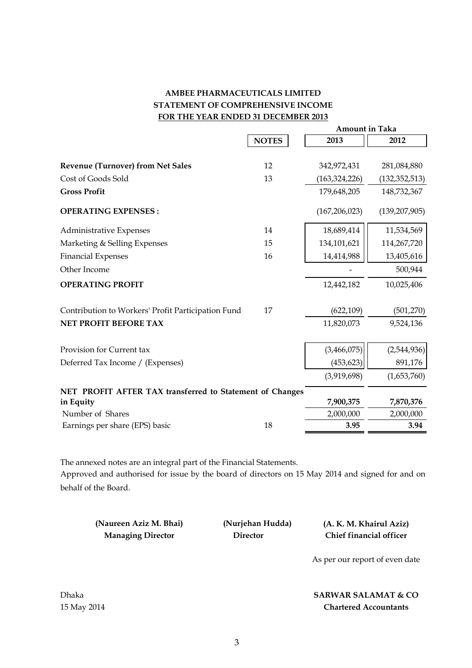# **AMBEE PHARMACEUTICALS LIMITED STATEMENT OF COMPREHENSIVE INCOME FOR THE YEAR ENDED 31 DECEMBER 2013**

|                                                          |              | Amount in Taka  |                 |
|----------------------------------------------------------|--------------|-----------------|-----------------|
|                                                          | <b>NOTES</b> | 2013            | 2012            |
|                                                          |              |                 |                 |
| <b>Revenue (Turnover) from Net Sales</b>                 | 12           | 342,972,431     | 281,084,880     |
| Cost of Goods Sold                                       | 13           | (163, 324, 226) | (132, 352, 513) |
| <b>Gross Profit</b>                                      |              | 179,648,205     | 148,732,367     |
| <b>OPERATING EXPENSES:</b>                               |              | (167, 206, 023) | (139, 207, 905) |
| <b>Administrative Expenses</b>                           | 14           | 18,689,414      | 11,534,569      |
| Marketing & Selling Expenses                             | 15           | 134,101,621     | 114,267,720     |
| <b>Financial Expenses</b>                                | 16           | 14,414,988      | 13,405,616      |
| Other Income                                             |              |                 | 500,944         |
| <b>OPERATING PROFIT</b>                                  |              | 12,442,182      | 10,025,406      |
| Contribution to Workers' Profit Participation Fund       | 17           | (622, 109)      | (501, 270)      |
| NET PROFIT BEFORE TAX                                    |              | 11,820,073      | 9,524,136       |
| Provision for Current tax                                |              | (3,466,075)     | (2,544,936)     |
| Deferred Tax Income / (Expenses)                         |              | (453, 623)      | 891,176         |
|                                                          |              | (3,919,698)     | (1,653,760)     |
| NET PROFIT AFTER TAX transferred to Statement of Changes |              |                 |                 |
| in Equity                                                |              | 7,900,375       | 7,870,376       |
| Number of Shares                                         |              | 2,000,000       | 2,000,000       |
| Earnings per share (EPS) basic                           | 18           | 3.95            | 3.94            |

The annexed notes are an integral part of the Financial Statements. Approved and authorised for issue by the board of directors on 15 May 2014 and signed for and on behalf of the Board.

**(Naureen Aziz M. Bhai) Managing Director** 

 **(Nurjehan Hudda) (A. K. M. Khairul Aziz) Director Chief financial officer**

As per our report of even date

**SARWAR SALAMAT & CO Chartered Accountants**

Dhaka 15 May 2014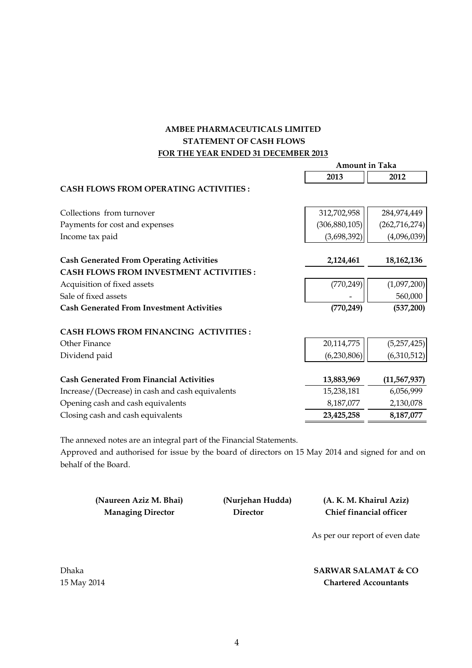# **FOR THE YEAR ENDED 31 DECEMBER 2013 AMBEE PHARMACEUTICALS LIMITED STATEMENT OF CASH FLOWS**

|                                                  | Amount in Taka  |                 |
|--------------------------------------------------|-----------------|-----------------|
|                                                  | 2013            | 2012            |
| <b>CASH FLOWS FROM OPERATING ACTIVITIES:</b>     |                 |                 |
| Collections from turnover                        | 312,702,958     | 284,974,449     |
| Payments for cost and expenses                   | (306, 880, 105) | (262, 716, 274) |
| Income tax paid                                  | (3,698,392)     | (4,096,039)     |
| <b>Cash Generated From Operating Activities</b>  | 2,124,461       | 18,162,136      |
| <b>CASH FLOWS FROM INVESTMENT ACTIVITIES:</b>    |                 |                 |
| Acquisition of fixed assets                      | (770, 249)      | (1,097,200)     |
| Sale of fixed assets                             |                 | 560,000         |
| <b>Cash Generated From Investment Activities</b> | (770, 249)      | (537, 200)      |
| <b>CASH FLOWS FROM FINANCING ACTIVITIES:</b>     |                 |                 |
| Other Finance                                    | 20,114,775      | (5,257,425)     |
| Dividend paid                                    | (6,230,806)     | (6,310,512)     |
| <b>Cash Generated From Financial Activities</b>  | 13,883,969      | (11, 567, 937)  |
| Increase/(Decrease) in cash and cash equivalents | 15,238,181      | 6,056,999       |
| Opening cash and cash equivalents                | 8,187,077       | 2,130,078       |
| Closing cash and cash equivalents                | 23,425,258      | 8,187,077       |
|                                                  |                 |                 |

The annexed notes are an integral part of the Financial Statements.

Approved and authorised for issue by the board of directors on 15 May 2014 and signed for and on behalf of the Board.

| (Naureen Aziz M. Bhai)   | (Nurjehan Hudda) | (A. K. M. Khairul Aziz)        |
|--------------------------|------------------|--------------------------------|
| <b>Managing Director</b> | <b>Director</b>  | Chief financial officer        |
|                          |                  | As per our report of even date |

**SARWAR SALAMAT & CO Chartered Accountants**

Dhaka 15 May 2014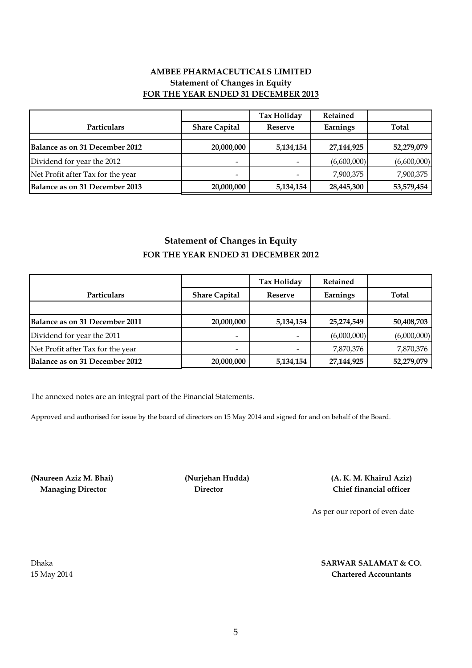# **AMBEE PHARMACEUTICALS LIMITED Statement of Changes in Equity FOR THE YEAR ENDED 31 DECEMBER 2013**

|                                   |                          | <b>Tax Holiday</b> | Retained    |              |
|-----------------------------------|--------------------------|--------------------|-------------|--------------|
| Particulars                       | <b>Share Capital</b>     | Reserve            | Earnings    | <b>Total</b> |
|                                   |                          |                    |             |              |
| Balance as on 31 December 2012    | 20,000,000               | 5,134,154          | 27,144,925  | 52,279,079   |
| Dividend for year the 2012        |                          |                    | (6,600,000) | (6,600,000)  |
| Net Profit after Tax for the year | $\overline{\phantom{a}}$ |                    | 7,900,375   | 7,900,375    |
| Balance as on 31 December 2013    | 20,000,000               | 5,134,154          | 28,445,300  | 53,579,454   |

# **Statement of Changes in Equity FOR THE YEAR ENDED 31 DECEMBER 2012**

|                                       |                          | Tax Holiday              | <b>Retained</b> |              |
|---------------------------------------|--------------------------|--------------------------|-----------------|--------------|
| <b>Particulars</b>                    | <b>Share Capital</b>     | <b>Reserve</b>           | Earnings        | <b>Total</b> |
|                                       |                          |                          |                 |              |
| Balance as on 31 December 2011        | 20,000,000               | 5,134,154                | 25,274,549      | 50,408,703   |
| Dividend for year the 2011            | $\overline{\phantom{a}}$ | $\overline{\phantom{0}}$ | (6,000,000)     | (6,000,000)  |
| Net Profit after Tax for the year     | -                        |                          | 7,870,376       | 7,870,376    |
| <b>Balance as on 31 December 2012</b> | 20,000,000               | 5,134,154                | 27,144,925      | 52,279,079   |

The annexed notes are an integral part of the Financial Statements.

Approved and authorised for issue by the board of directors on 15 May 2014 and signed for and on behalf of the Board.

**(Naureen Aziz M. Bhai) (Nurjehan Hudda) Managing Director Director**

**Chief financial officer (A. K. M. Khairul Aziz)**

As per our report of even date

Dhaka 15 May 2014

#### **Chartered Accountants SARWAR SALAMAT & CO.**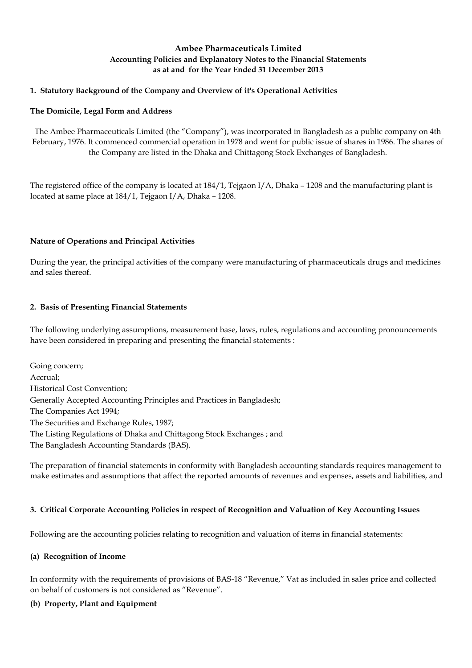# **Ambee Pharmaceuticals Limited Accounting Policies and Explanatory Notes to the Financial Statements as at and for the Year Ended 31 December 2013**

# **1. Statutory Background of the Company and Overview of it's Operational Activities**

## **The Domicile, Legal Form and Address**

The Ambee Pharmaceuticals Limited (the "Company"), was incorporated in Bangladesh as a public company on 4th February, 1976. It commenced commercial operation in 1978 and went for public issue of shares in 1986. The shares of the Company are listed in the Dhaka and Chittagong Stock Exchanges of Bangladesh.

The registered office of the company is located at 184/1, Tejgaon I/A, Dhaka – 1208 and the manufacturing plant is located at same place at 184/1, Tejgaon I/A, Dhaka – 1208.

# **Nature of Operations and Principal Activities**

During the year, the principal activities of the company were manufacturing of pharmaceuticals drugs and medicines and sales thereof.

# **2. Basis of Presenting Financial Statements**

The following underlying assumptions, measurement base, laws, rules, regulations and accounting pronouncements have been considered in preparing and presenting the financial statements :

Generally Accepted Accounting Principles and Practices in Bangladesh; The Companies Act 1994; The Securities and Exchange Rules, 1987; The Listing Regulations of Dhaka and Chittagong Stock Exchanges ; and The Bangladesh Accounting Standards (BAS). Going concern; Accrual; Historical Cost Convention;

The preparation of financial statements in conformity with Bangladesh accounting standards requires management to make estimates and assumptions that affect the reported amounts of revenues and expenses, assets and liabilities, and

#### **3. Critical Corporate Accounting Policies in respect of Recognition and Valuation of Key Accounting Issues**

Following are the accounting policies relating to recognition and valuation of items in financial statements:

#### **(a) Recognition of Income**

In conformity with the requirements of provisions of BAS-18 "Revenue," Vat as included in sales price and collected on behalf of customers is not considered as "Revenue".

#### **(b) Property, Plant and Equipment**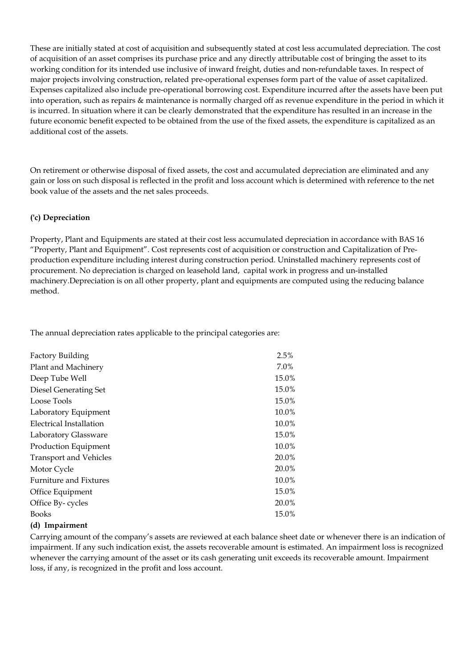These are initially stated at cost of acquisition and subsequently stated at cost less accumulated depreciation. The cost of acquisition of an asset comprises its purchase price and any directly attributable cost of bringing the asset to its working condition for its intended use inclusive of inward freight, duties and non-refundable taxes. In respect of major projects involving construction, related pre-operational expenses form part of the value of asset capitalized. Expenses capitalized also include pre-operational borrowing cost. Expenditure incurred after the assets have been put into operation, such as repairs & maintenance is normally charged off as revenue expenditure in the period in which it is incurred. In situation where it can be clearly demonstrated that the expenditure has resulted in an increase in the future economic benefit expected to be obtained from the use of the fixed assets, the expenditure is capitalized as an additional cost of the assets.

On retirement or otherwise disposal of fixed assets, the cost and accumulated depreciation are eliminated and any gain or loss on such disposal is reflected in the profit and loss account which is determined with reference to the net book value of the assets and the net sales proceeds.

#### **('c) Depreciation**

Property, Plant and Equipments are stated at their cost less accumulated depreciation in accordance with BAS 16 "Property, Plant and Equipment". Cost represents cost of acquisition or construction and Capitalization of Preproduction expenditure including interest during construction period. Uninstalled machinery represents cost of procurement. No depreciation is charged on leasehold land, capital work in progress and un-installed machinery.Depreciation is on all other property, plant and equipments are computed using the reducing balance method.

The annual depreciation rates applicable to the principal categories are:

| <b>Factory Building</b>       | 2.5%  |
|-------------------------------|-------|
| Plant and Machinery           | 7.0%  |
| Deep Tube Well                | 15.0% |
| <b>Diesel Generating Set</b>  | 15.0% |
| Loose Tools                   | 15.0% |
| Laboratory Equipment          | 10.0% |
| Electrical Installation       | 10.0% |
| Laboratory Glassware          | 15.0% |
| Production Equipment          | 10.0% |
| <b>Transport and Vehicles</b> | 20.0% |
| Motor Cycle                   | 20.0% |
| <b>Furniture and Fixtures</b> | 10.0% |
| Office Equipment              | 15.0% |
| Office By-cycles              | 20.0% |
| <b>Books</b>                  | 15.0% |
|                               |       |

#### **(d) Impairment**

Carrying amount of the company's assets are reviewed at each balance sheet date or whenever there is an indication of impairment. If any such indication exist, the assets recoverable amount is estimated. An impairment loss is recognized whenever the carrying amount of the asset or its cash generating unit exceeds its recoverable amount. Impairment loss, if any, is recognized in the profit and loss account.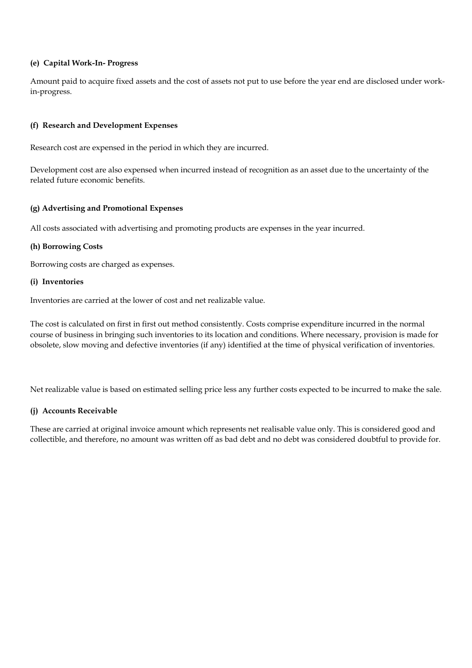## **(e) Capital Work-In- Progress**

Amount paid to acquire fixed assets and the cost of assets not put to use before the year end are disclosed under workin-progress.

## **(f) Research and Development Expenses**

Research cost are expensed in the period in which they are incurred.

Development cost are also expensed when incurred instead of recognition as an asset due to the uncertainty of the related future economic benefits.

#### **(g) Advertising and Promotional Expenses**

All costs associated with advertising and promoting products are expenses in the year incurred.

# **(h) Borrowing Costs**

Borrowing costs are charged as expenses.

#### **(i) Inventories**

Inventories are carried at the lower of cost and net realizable value.

The cost is calculated on first in first out method consistently. Costs comprise expenditure incurred in the normal course of business in bringing such inventories to its location and conditions. Where necessary, provision is made for obsolete, slow moving and defective inventories (if any) identified at the time of physical verification of inventories.

Net realizable value is based on estimated selling price less any further costs expected to be incurred to make the sale.

# **(j) Accounts Receivable**

These are carried at original invoice amount which represents net realisable value only. This is considered good and collectible, and therefore, no amount was written off as bad debt and no debt was considered doubtful to provide for.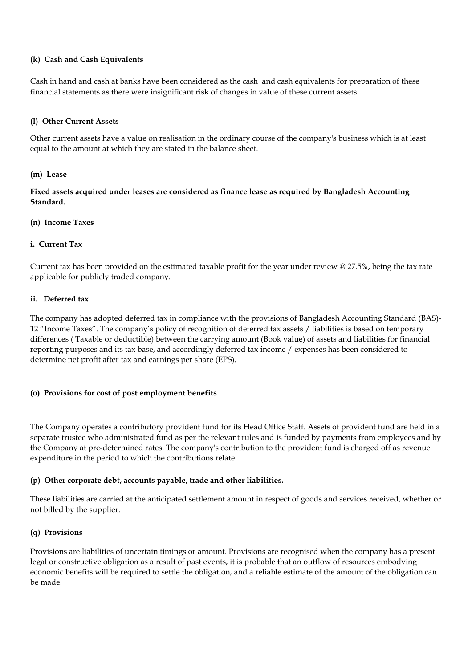## **(k) Cash and Cash Equivalents**

Cash in hand and cash at banks have been considered as the cash and cash equivalents for preparation of these financial statements as there were insignificant risk of changes in value of these current assets.

## **(l) Other Current Assets**

Other current assets have a value on realisation in the ordinary course of the company's business which is at least equal to the amount at which they are stated in the balance sheet.

#### **(m) Lease**

**Fixed assets acquired under leases are considered as finance lease as required by Bangladesh Accounting Standard.** 

#### **(n) Income Taxes**

#### **i. Current Tax**

Current tax has been provided on the estimated taxable profit for the year under review @ 27.5%, being the tax rate applicable for publicly traded company.

#### **ii. Deferred tax**

The company has adopted deferred tax in compliance with the provisions of Bangladesh Accounting Standard (BAS)- 12 "Income Taxes". The company's policy of recognition of deferred tax assets / liabilities is based on temporary differences ( Taxable or deductible) between the carrying amount (Book value) of assets and liabilities for financial reporting purposes and its tax base, and accordingly deferred tax income / expenses has been considered to determine net profit after tax and earnings per share (EPS).

#### **(o) Provisions for cost of post employment benefits**

The Company operates a contributory provident fund for its Head Office Staff. Assets of provident fund are held in a separate trustee who administrated fund as per the relevant rules and is funded by payments from employees and by the Company at pre-determined rates. The company's contribution to the provident fund is charged off as revenue expenditure in the period to which the contributions relate.

#### **(p) Other corporate debt, accounts payable, trade and other liabilities.**

These liabilities are carried at the anticipated settlement amount in respect of goods and services received, whether or not billed by the supplier.

#### **(q) Provisions**

Provisions are liabilities of uncertain timings or amount. Provisions are recognised when the company has a present legal or constructive obligation as a result of past events, it is probable that an outflow of resources embodying economic benefits will be required to settle the obligation, and a reliable estimate of the amount of the obligation can be made.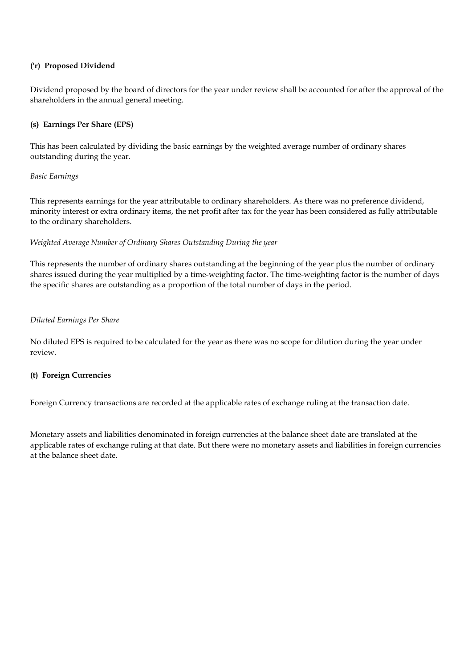## **('r) Proposed Dividend**

Dividend proposed by the board of directors for the year under review shall be accounted for after the approval of the shareholders in the annual general meeting.

# **(s) Earnings Per Share (EPS)**

This has been calculated by dividing the basic earnings by the weighted average number of ordinary shares outstanding during the year.

#### *Basic Earnings*

This represents earnings for the year attributable to ordinary shareholders. As there was no preference dividend, minority interest or extra ordinary items, the net profit after tax for the year has been considered as fully attributable to the ordinary shareholders.

#### *Weighted Average Number of Ordinary Shares Outstanding During the year*

This represents the number of ordinary shares outstanding at the beginning of the year plus the number of ordinary shares issued during the year multiplied by a time-weighting factor. The time-weighting factor is the number of days the specific shares are outstanding as a proportion of the total number of days in the period.

#### *Diluted Earnings Per Share*

No diluted EPS is required to be calculated for the year as there was no scope for dilution during the year under review.

#### **(t) Foreign Currencies**

Foreign Currency transactions are recorded at the applicable rates of exchange ruling at the transaction date.

Monetary assets and liabilities denominated in foreign currencies at the balance sheet date are translated at the applicable rates of exchange ruling at that date. But there were no monetary assets and liabilities in foreign currencies at the balance sheet date.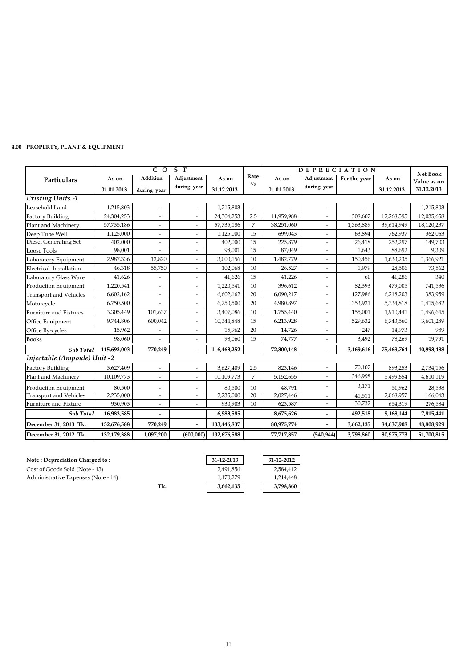# **4.00 PROPERTY, PLANT & EQUIPMENT**

|                               |             | $\overline{C}$ O         | $S$ T                        |             |                       | <b>DEPRECIATION</b> |                |              |            | <b>Net Book</b> |
|-------------------------------|-------------|--------------------------|------------------------------|-------------|-----------------------|---------------------|----------------|--------------|------------|-----------------|
| Particulars                   | As on       | Addition                 | Adjustment                   | As on       | Rate<br>$\frac{0}{0}$ | As on               | Adjustment     | For the year | As on      | Value as on     |
|                               | 01.01.2013  | during year              | during year                  | 31.12.2013  |                       | 01.01.2013          | during year    |              | 31.12.2013 | 31.12.2013      |
| <b>Existing Units-1</b>       |             |                          |                              |             |                       |                     |                |              |            |                 |
| Leasehold Land                | 1,215,803   | $\overline{\phantom{a}}$ | $\overline{a}$               | 1,215,803   | $\overline{a}$        |                     |                |              |            | 1,215,803       |
| <b>Factory Building</b>       | 24,304,253  |                          |                              | 24,304,253  | 2.5                   | 11,959,988          |                | 308,607      | 12,268,595 | 12,035,658      |
| Plant and Machinery           | 57,735,186  | $\overline{\phantom{a}}$ | $\overline{\phantom{a}}$     | 57,735,186  | $\overline{7}$        | 38,251,060          | $\overline{a}$ | 1,363,889    | 39,614,949 | 18,120,237      |
| Deep Tube Well                | 1,125,000   | $\qquad \qquad =$        | $\overline{a}$               | 1,125,000   | 15                    | 699,043             |                | 63,894       | 762,937    | 362,063         |
| Diesel Generating Set         | 402,000     |                          | $\overline{a}$               | 402,000     | 15                    | 225,879             | $\overline{a}$ | 26,418       | 252,297    | 149,703         |
| Loose Tools                   | 98,001      |                          |                              | 98,001      | 15                    | 87,049              |                | 1,643        | 88,692     | 9,309           |
| Laboratory Equipment          | 2,987,336   | 12,820                   | $\overline{\phantom{a}}$     | 3,000,156   | 10                    | 1,482,779           | $\overline{a}$ | 150,456      | 1,633,235  | 1,366,921       |
| Electrical Installation       | 46,318      | 55,750                   |                              | 102,068     | 10                    | 26,527              |                | 1,979        | 28,506     | 73,562          |
| Laboratory Glass Ware         | 41,626      | $\overline{\phantom{a}}$ | $\overline{\phantom{a}}$     | 41,626      | 15                    | 41,226              | $\overline{a}$ | 60           | 41,286     | 340             |
| Production Equipment          | 1,220,541   | $\qquad \qquad =$        | $\overline{a}$               | 1,220,541   | 10                    | 396,612             | $\overline{a}$ | 82,393       | 479,005    | 741,536         |
| <b>Transport and Vehicles</b> | 6,602,162   |                          |                              | 6,602,162   | 20                    | 6,090,217           |                | 127,986      | 6,218,203  | 383,959         |
| Motorcycle                    | 6,750,500   | $\overline{a}$           | $\overline{a}$               | 6,750,500   | 20                    | 4,980,897           | $\overline{a}$ | 353,921      | 5,334,818  | 1,415,682       |
| <b>Furniture and Fixtures</b> | 3,305,449   | 101,637                  | $\overline{\phantom{a}}$     | 3,407,086   | 10                    | 1,755,440           | $\overline{a}$ | 155,001      | 1,910,441  | 1,496,645       |
| Office Equipment              | 9,744,806   | 600,042                  | $\qquad \qquad \blacksquare$ | 10,344,848  | 15                    | 6,213,928           | $\overline{a}$ | 529,632      | 6,743,560  | 3,601,289       |
| Office By-cycles              | 15,962      |                          | $\overline{a}$               | 15,962      | 20                    | 14,726              | $\overline{a}$ | 247          | 14,973     | 989             |
| <b>Books</b>                  | 98,060      |                          |                              | 98,060      | 15                    | 74,777              |                | 3,492        | 78,269     | 19,791          |
| Sub Total                     | 115,693,003 | 770,249                  | $\overline{\phantom{a}}$     | 116,463,252 |                       | 72,300,148          |                | 3,169,616    | 75,469,764 | 40,993,488      |
| Injectable (Ampoule) Unit -2  |             |                          |                              |             |                       |                     |                |              |            |                 |
| <b>Factory Building</b>       | 3,627,409   |                          | $\overline{a}$               | 3,627,409   | 2.5                   | 823,146             | $\overline{a}$ | 70,107       | 893,253    | 2,734,156       |
| Plant and Machinery           | 10,109,773  | $\blacksquare$           | $\blacksquare$               | 10,109,773  | $\overline{7}$        | 5,152,655           |                | 346,998      | 5,499,654  | 4,610,119       |
| Production Equipment          | 80,500      | $\overline{\phantom{0}}$ | $\overline{\phantom{a}}$     | 80,500      | 10                    | 48,791              |                | 3,171        | 51,962     | 28,538          |
| <b>Transport and Vehicles</b> | 2,235,000   | $\blacksquare$           | $\overline{a}$               | 2,235,000   | $\overline{20}$       | 2,027,446           | $\overline{a}$ | 41,511       | 2,068,957  | 166,043         |
| <b>Furniture and Fixture</b>  | 930,903     |                          |                              | 930,903     | 10                    | 623,587             |                | 30,732       | 654,319    | 276,584         |
| Sub Total                     | 16,983,585  | $\blacksquare$           |                              | 16,983,585  |                       | 8,675,626           | $\overline{a}$ | 492,518      | 9,168,144  | 7,815,441       |
| December 31, 2013 Tk.         | 132,676,588 | 770,249                  | $\overline{a}$               | 133,446,837 |                       | 80,975,774          |                | 3,662,135    | 84,637,908 | 48,808,929      |
| December 31, 2012 Tk.         | 132,179,388 | 1,097,200                | (600,000)                    | 132,676,588 |                       | 77,717,857          | (540, 944)     | 3,798,860    | 80,975,773 | 51,700,815      |

| Note: Depreciation Charged to:      |     | 31-12-2013 | 31-12-2012 |
|-------------------------------------|-----|------------|------------|
| Cost of Goods Sold (Note - 13)      |     | 2,491,856  | 2,584,412  |
| Administrative Expenses (Note - 14) |     | 1,170,279  | 1,214,448  |
|                                     | Tk. | 3,662,135  | 3,798,860  |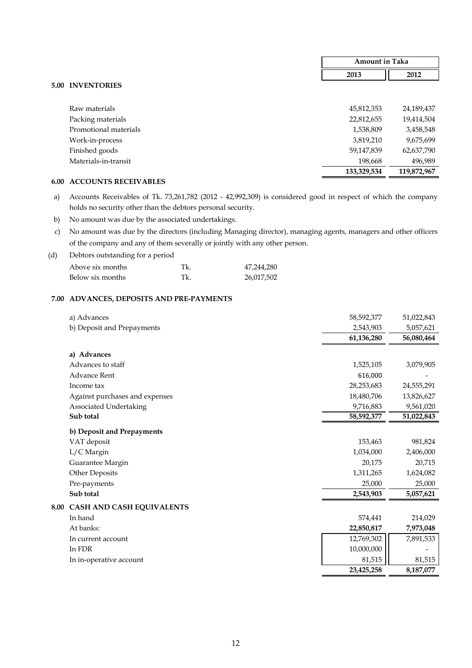|                       | <b>Amount in Taka</b> |             |
|-----------------------|-----------------------|-------------|
|                       | 2013                  | 2012        |
| 5.00 INVENTORIES      |                       |             |
|                       |                       |             |
| Raw materials         | 45,812,353            | 24,189,437  |
| Packing materials     | 22,812,655            | 19,414,504  |
| Promotional materials | 1,538,809             | 3,458,548   |
| Work-in-process       | 3,819,210             | 9,675,699   |
| Finished goods        | 59,147,839            | 62,637,790  |
| Materials-in-transit  | 198,668               | 496,989     |
|                       | 133,329,534           | 119,872,967 |

#### **6.00 ACCOUNTS RECEIVABLES**

 a) Accounts Receivables of Tk. 73,261,782 (2012 - 42,992,309) is considered good in respect of which the company holds no security other than the debtors personal security.

- b) No amount was due by the associated undertakings.
- c) No amount was due by the directors (including Managing director), managing agents, managers and other officers of the company and any of them severally or jointly with any other person.

(d) Debtors outstanding for a period

| Above six months | Tk. | 47,244,280 |
|------------------|-----|------------|
| Below six months |     | 26,017,502 |

#### **7.00 ADVANCES, DEPOSITS AND PRE-PAYMENTS**

|                     | a) Advances                    | 58,592,377 | 51,022,843 |
|---------------------|--------------------------------|------------|------------|
|                     | b) Deposit and Prepayments     | 2,543,903  | 5,057,621  |
|                     |                                | 61,136,280 | 56,080,464 |
|                     | a) Advances                    |            |            |
|                     | Advances to staff              | 1,525,105  | 3,079,905  |
|                     | <b>Advance Rent</b>            | 616,000    |            |
|                     | Income tax                     | 28,253,683 | 24,555,291 |
|                     | Against purchases and expenses | 18,480,706 | 13,826,627 |
|                     | Associated Undertaking         | 9,716,883  | 9,561,020  |
|                     | Sub total                      | 58,592,377 | 51,022,843 |
|                     | b) Deposit and Prepayments     |            |            |
|                     | VAT deposit                    | 153,463    | 981,824    |
|                     | L/C Margin                     | 1,034,000  | 2,406,000  |
|                     | Guarantee Margin               | 20,175     | 20,715     |
|                     | Other Deposits                 | 1,311,265  | 1,624,082  |
|                     | Pre-payments                   | 25,000     | 25,000     |
|                     | Sub total                      | 2,543,903  | 5,057,621  |
| $\boldsymbol{8.00}$ | CASH AND CASH EQUIVALENTS      |            |            |
|                     | In hand                        | 574,441    | 214,029    |
|                     | At banks:                      | 22,850,817 | 7,973,048  |
|                     | In current account             | 12,769,302 | 7,891,533  |
|                     | In FDR                         | 10,000,000 |            |
|                     | In in-operative account        | 81,515     | 81,515     |
|                     |                                | 23,425,258 | 8,187,077  |
|                     |                                |            |            |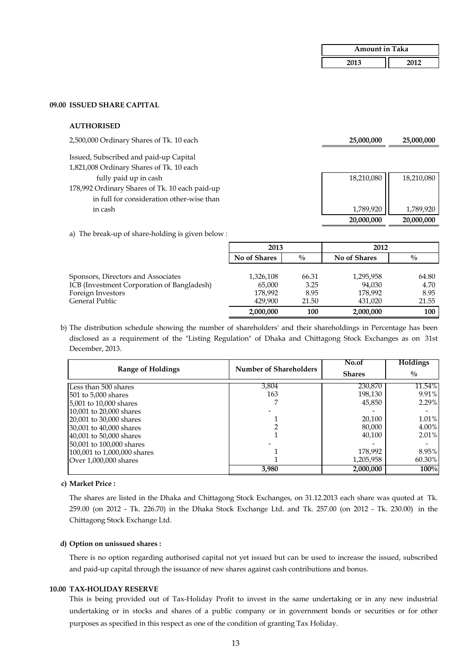| <b>Amount in Taka</b> |      |  |
|-----------------------|------|--|
| 2013                  | 2012 |  |

 **20,000,000 20,000,000** 

#### **09.00 ISSUED SHARE CAPITAL**

#### **AUTHORISED**

2,500,000 Ordinary Shares of Tk. 10 each **25,000,000 25,000,000** 

Issued, Subscribed and paid-up Capital

1,821,008 Ordinary Shares of Tk. 10 each

fully paid up in cash 18,210,080 18,210,080 18,210,080

- 178,992 Ordinary Shares of Tk. 10 each paid-up in full for consideration other-wise than in cash 1,789,920 | 1,789,920 | 1,789,920 | 1,789,920 | 1,789,920 | 1,789,920 | 1,789,920 | 1,789,920 | 1,789,
- a) The break-up of share-holding is given below :

|                                            | 2013         |               |              | 2012          |
|--------------------------------------------|--------------|---------------|--------------|---------------|
|                                            | No of Shares | $\frac{0}{0}$ | No of Shares | $\frac{0}{0}$ |
|                                            |              |               |              |               |
| Sponsors, Directors and Associates         | 1,326,108    | 66.31         | 1,295,958    | 64.80         |
| ICB (Investment Corporation of Bangladesh) | 65,000       | 3.25          | 94,030       | 4.70          |
| Foreign Investors                          | 178,992      | 8.95          | 178,992      | 8.95          |
| General Public                             | 429,900      | 21.50         | 431,020      | 21.55         |
|                                            | 2,000,000    | 100           | 2,000,000    | 100           |

b) The distribution schedule showing the number of shareholders' and their shareholdings in Percentage has been disclosed as a requirement of the "Listing Regulation" of Dhaka and Chittagong Stock Exchanges as on 31st December, 2013.

|                             |                               | No.of         | <b>Holdings</b> |
|-----------------------------|-------------------------------|---------------|-----------------|
| Range of Holdings           | <b>Number of Shareholders</b> | <b>Shares</b> | $\frac{0}{0}$   |
| Less than 500 shares        | 3,804                         | 230,870       | 11.54%          |
| 501 to 5,000 shares         | 163                           | 198,130       | 9.91%           |
| 5,001 to 10,000 shares      |                               | 45,850        | $2.29\%$        |
| 10,001 to 20,000 shares     |                               |               |                 |
| 20,001 to 30,000 shares     |                               | 20,100        | 1.01%           |
| 30,001 to 40,000 shares     |                               | 80,000        | 4.00%           |
| 40,001 to 50,000 shares     |                               | 40,100        | $2.01\%$        |
| 50,001 to 100,000 shares    |                               |               |                 |
| 100,001 to 1,000,000 shares |                               | 178,992       | 8.95%           |
| Over $1,000,000$ shares     |                               | 1,205,958     | 60.30%          |
|                             | 3,980                         | 2,000,000     | 100%            |

#### **c) Market Price :**

The shares are listed in the Dhaka and Chittagong Stock Exchanges, on 31.12.2013 each share was quoted at Tk. 259.00 (on 2012 - Tk. 226.70) in the Dhaka Stock Exchange Ltd. and Tk. 257.00 (on 2012 - Tk. 230.00) in the Chittagong Stock Exchange Ltd.

## **d) Option on unissued shares :**

There is no option regarding authorised capital not yet issued but can be used to increase the issued, subscribed and paid-up capital through the issuance of new shares against cash contributions and bonus.

#### **10.00 TAX-HOLIDAY RESERVE**

This is being provided out of Tax-Holiday Profit to invest in the same undertaking or in any new industrial undertaking or in stocks and shares of a public company or in government bonds or securities or for other purposes as specified in this respect as one of the condition of granting Tax Holiday.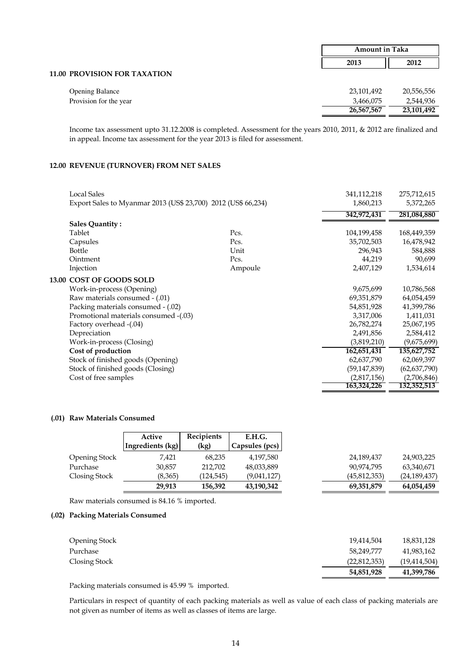|                                     | <b>Amount in Taka</b> |            |
|-------------------------------------|-----------------------|------------|
|                                     | 2013                  | 2012       |
| <b>11.00 PROVISION FOR TAXATION</b> |                       |            |
| <b>Opening Balance</b>              | 23,101,492            | 20,556,556 |
| Provision for the year              | 3,466,075             | 2,544,936  |
|                                     | 26,567,567            | 23,101,492 |

Income tax assessment upto 31.12.2008 is completed. Assessment for the years 2010, 2011, & 2012 are finalized and in appeal. Income tax assessment for the year 2013 is filed for assessment.

# **12.00 REVENUE (TURNOVER) FROM NET SALES**

| <b>Local Sales</b>                                            |         | 341,112,218    | 275,712,615    |
|---------------------------------------------------------------|---------|----------------|----------------|
| Export Sales to Myanmar 2013 (US\$ 23,700) 2012 (US\$ 66,234) |         | 1,860,213      | 5,372,265      |
|                                                               |         | 342,972,431    | 281,084,880    |
| <b>Sales Quantity:</b>                                        |         |                |                |
| Tablet                                                        | Pcs.    | 104,199,458    | 168,449,359    |
| Capsules                                                      | Pcs.    | 35,702,503     | 16,478,942     |
| <b>Bottle</b>                                                 | Unit    | 296,943        | 584,888        |
| Ointment                                                      | Pcs.    | 44,219         | 90,699         |
| Injection                                                     | Ampoule | 2,407,129      | 1,534,614      |
| 13.00 COST OF GOODS SOLD                                      |         |                |                |
| Work-in-process (Opening)                                     |         | 9,675,699      | 10,786,568     |
| Raw materials consumed - (.01)                                |         | 69,351,879     | 64,054,459     |
| Packing materials consumed - (.02)                            |         | 54,851,928     | 41,399,786     |
| Promotional materials consumed -(.03)                         |         | 3,317,006      | 1,411,031      |
| Factory overhead -(.04)                                       |         | 26,782,274     | 25,067,195     |
| Depreciation                                                  |         | 2,491,856      | 2,584,412      |
| Work-in-process (Closing)                                     |         | (3,819,210)    | (9,675,699)    |
| Cost of production                                            |         | 162,651,431    | 135,627,752    |
| Stock of finished goods (Opening)                             |         | 62,637,790     | 62,069,397     |
| Stock of finished goods (Closing)                             |         | (59, 147, 839) | (62, 637, 790) |
| Cost of free samples                                          |         | (2,817,156)    | (2,706,846)    |
|                                                               |         | 163,324,226    | 132,352,513    |

#### **(.01) Raw Materials Consumed**

|               | Active           | <b>Recipients</b> | E.H.G.         |                |                |
|---------------|------------------|-------------------|----------------|----------------|----------------|
|               | Ingredients (kg) | (kg)              | Capsules (pcs) |                |                |
| Opening Stock | 7,421            | 68,235            | 4,197,580      | 24,189,437     | 24,903,225     |
| Purchase      | 30,857           | 212,702           | 48,033,889     | 90,974,795     | 63,340,671     |
| Closing Stock | (8,365)          | (124, 545)        | (9,041,127)    | (45, 812, 353) | (24, 189, 437) |
|               | 29,913           | 156,392           | 43,190,342     | 69,351,879     | 64,054,459     |

Raw materials consumed is 84.16 % imported.

# **(.02) Packing Materials Consumed**

| <b>Opening Stock</b> | 19,414,504   | 18,831,128     |
|----------------------|--------------|----------------|
| Purchase             | 58,249,777   | 41,983,162     |
|                      |              |                |
| Closing Stock        | (22,812,353) | (19, 414, 504) |
|                      | 54,851,928   | 41,399,786     |

Packing materials consumed is 45.99 % imported.

Particulars in respect of quantity of each packing materials as well as value of each class of packing materials are not given as number of items as well as classes of items are large.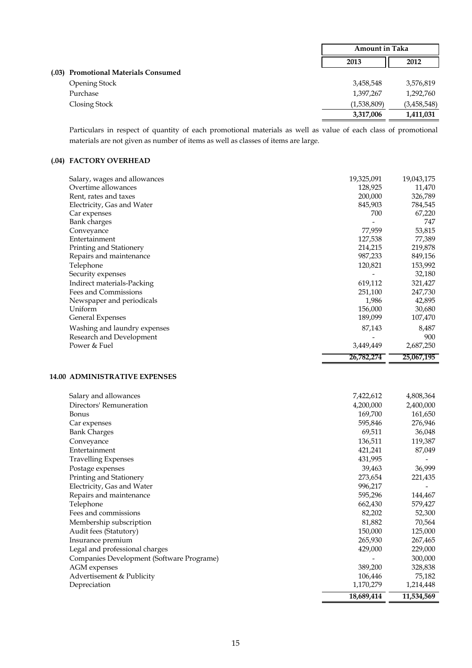|                                      |             | <b>Amount in Taka</b> |  |
|--------------------------------------|-------------|-----------------------|--|
|                                      | 2013        | 2012                  |  |
| (.03) Promotional Materials Consumed |             |                       |  |
| <b>Opening Stock</b>                 | 3,458,548   | 3,576,819             |  |
| Purchase                             | 1,397,267   | 1,292,760             |  |
| Closing Stock                        | (1,538,809) | (3,458,548)           |  |
|                                      | 3,317,006   | 1,411,031             |  |

Particulars in respect of quantity of each promotional materials as well as value of each class of promotional materials are not given as number of items as well as classes of items are large.

# **(.04) FACTORY OVERHEAD**

| Salary, wages and allowances | 19,325,091 | 19,043,175 |
|------------------------------|------------|------------|
| Overtime allowances          | 128,925    | 11,470     |
| Rent, rates and taxes        | 200,000    | 326,789    |
| Electricity, Gas and Water   | 845,903    | 784,545    |
| Car expenses                 | 700        | 67,220     |
| <b>Bank</b> charges          |            | 747        |
| Conveyance                   | 77,959     | 53,815     |
| Entertainment                | 127,538    | 77,389     |
| Printing and Stationery      | 214,215    | 219,878    |
| Repairs and maintenance      | 987,233    | 849,156    |
| Telephone                    | 120,821    | 153,992    |
| Security expenses            |            | 32,180     |
| Indirect materials-Packing   | 619,112    | 321,427    |
| Fees and Commissions         | 251,100    | 247,730    |
| Newspaper and periodicals    | 1,986      | 42,895     |
| Uniform                      | 156,000    | 30,680     |
| <b>General Expenses</b>      | 189,099    | 107,470    |
| Washing and laundry expenses | 87,143     | 8,487      |
| Research and Development     |            | 900        |
| Power & Fuel                 | 3,449,449  | 2,687,250  |
|                              | 26,782,274 | 25,067,195 |

## **14.00 ADMINISTRATIVE EXPENSES**

|                                           | 18,689,414 | 11,534,569 |
|-------------------------------------------|------------|------------|
| Depreciation                              | 1,170,279  | 1,214,448  |
| Advertisement & Publicity                 | 106,446    | 75,182     |
| <b>AGM</b> expenses                       | 389,200    | 328,838    |
| Companies Development (Software Programe) |            | 300,000    |
| Legal and professional charges            | 429,000    | 229,000    |
| Insurance premium                         | 265,930    | 267,465    |
| Audit fees (Statutory)                    | 150,000    | 125,000    |
| Membership subscription                   | 81,882     | 70,564     |
| Fees and commissions                      | 82,202     | 52,300     |
| Telephone                                 | 662,430    | 579,427    |
| Repairs and maintenance                   | 595,296    | 144,467    |
| Electricity, Gas and Water                | 996,217    |            |
| Printing and Stationery                   | 273,654    | 221,435    |
| Postage expenses                          | 39,463     | 36,999     |
| <b>Travelling Expenses</b>                | 431,995    |            |
| Entertainment                             | 421,241    | 87,049     |
| Conveyance                                | 136,511    | 119,387    |
| <b>Bank Charges</b>                       | 69,511     | 36,048     |
| Car expenses                              | 595,846    | 276,946    |
| <b>Bonus</b>                              | 169,700    | 161,650    |
| Directors' Remuneration                   | 4,200,000  | 2,400,000  |
| Salary and allowances                     | 7,422,612  | 4,808,364  |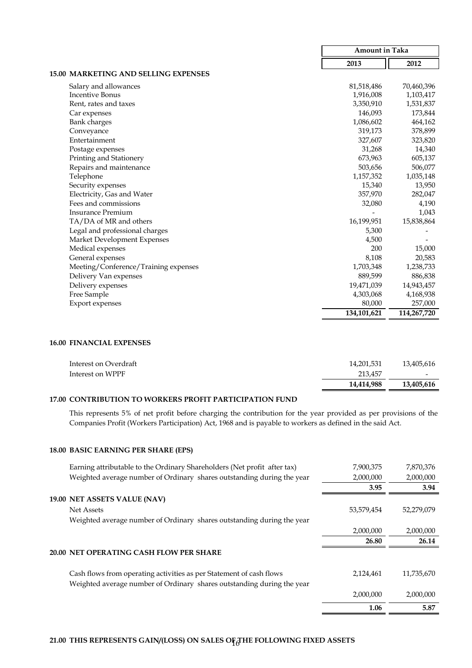|                                             | <b>Amount in Taka</b> |             |
|---------------------------------------------|-----------------------|-------------|
|                                             | 2013                  | 2012        |
| <b>15.00 MARKETING AND SELLING EXPENSES</b> |                       |             |
| Salary and allowances                       | 81,518,486            | 70,460,396  |
| <b>Incentive Bonus</b>                      | 1,916,008             | 1,103,417   |
| Rent, rates and taxes                       | 3,350,910             | 1,531,837   |
| Car expenses                                | 146,093               | 173,844     |
| <b>Bank</b> charges                         | 1,086,602             | 464,162     |
| Conveyance                                  | 319,173               | 378,899     |
| Entertainment                               | 327,607               | 323,820     |
| Postage expenses                            | 31,268                | 14,340      |
| Printing and Stationery                     | 673,963               | 605,137     |
| Repairs and maintenance                     | 503,656               | 506,077     |
| Telephone                                   | 1,157,352             | 1,035,148   |
| Security expenses                           | 15,340                | 13,950      |
| Electricity, Gas and Water                  | 357,970               | 282,047     |
| Fees and commissions                        | 32,080                | 4,190       |
| <b>Insurance Premium</b>                    |                       | 1,043       |
| TA/DA of MR and others                      | 16,199,951            | 15,838,864  |
| Legal and professional charges              | 5,300                 |             |
| Market Development Expenses                 | 4,500                 |             |
| Medical expenses                            | 200                   | 15,000      |
| General expenses                            | 8,108                 | 20,583      |
| Meeting/Conference/Training expenses        | 1,703,348             | 1,238,733   |
| Delivery Van expenses                       | 889,599               | 886,838     |
| Delivery expenses                           | 19,471,039            | 14,943,457  |
| Free Sample                                 | 4,303,068             | 4,168,938   |
| <b>Export expenses</b>                      | 80,000                | 257,000     |
|                                             | 134,101,621           | 114,267,720 |

#### **16.00 FINANCIAL EXPENSES**

| Interest on Overdraft | 14,201,531 | 13,405,616               |
|-----------------------|------------|--------------------------|
| Interest on WPPF      | 213,457    | $\overline{\phantom{a}}$ |
|                       | 14,414,988 | 13,405,616               |

# **17.00 CONTRIBUTION TO WORKERS PROFIT PARTICIPATION FUND**

This represents 5% of net profit before charging the contribution for the year provided as per provisions of the Companies Profit (Workers Participation) Act, 1968 and is payable to workers as defined in the said Act.

# **18.00 BASIC EARNING PER SHARE (EPS)**

| Earning attributable to the Ordinary Shareholders (Net profit after tax)                                                                      | 7,900,375  | 7,870,376  |
|-----------------------------------------------------------------------------------------------------------------------------------------------|------------|------------|
| Weighted average number of Ordinary shares outstanding during the year                                                                        | 2,000,000  | 2,000,000  |
|                                                                                                                                               | 3.95       | 3.94       |
| 19.00 NET ASSETS VALUE (NAV)                                                                                                                  |            |            |
| <b>Net Assets</b>                                                                                                                             | 53,579,454 | 52,279,079 |
| Weighted average number of Ordinary shares outstanding during the year                                                                        |            |            |
|                                                                                                                                               | 2,000,000  | 2,000,000  |
|                                                                                                                                               | 26.80      | 26.14      |
| 20.00 NET OPERATING CASH FLOW PER SHARE                                                                                                       |            |            |
|                                                                                                                                               |            |            |
| Cash flows from operating activities as per Statement of cash flows<br>Weighted average number of Ordinary shares outstanding during the year | 2,124,461  | 11,735,670 |
|                                                                                                                                               | 2,000,000  | 2,000,000  |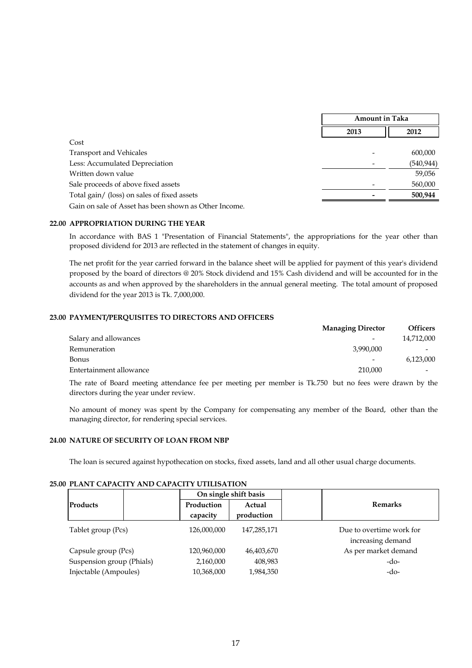|                                                       | <b>Amount in Taka</b> |            |
|-------------------------------------------------------|-----------------------|------------|
|                                                       | 2013                  | 2012       |
| Cost                                                  |                       |            |
| <b>Transport and Vehicales</b>                        |                       | 600,000    |
| Less: Accumulated Depreciation                        |                       | (540, 944) |
| Written down value                                    |                       | 59,056     |
| Sale proceeds of above fixed assets                   |                       | 560,000    |
| Total gain/ (loss) on sales of fixed assets           |                       | 500,944    |
| Gain on sale of Asset has been shown as Other Income. |                       |            |

#### **22.00 APPROPRIATION DURING THE YEAR**

In accordance with BAS 1 "Presentation of Financial Statements", the appropriations for the year other than proposed dividend for 2013 are reflected in the statement of changes in equity.

The net profit for the year carried forward in the balance sheet will be applied for payment of this year's dividend proposed by the board of directors @ 20% Stock dividend and 15% Cash dividend and will be accounted for in the accounts as and when approved by the shareholders in the annual general meeting. The total amount of proposed dividend for the year 2013 is Tk. 7,000,000.

# **23.00 PAYMENT/PERQUISITES TO DIRECTORS AND OFFICERS**

|                         | <b>Managing Director</b> | <b>Officers</b> |
|-------------------------|--------------------------|-----------------|
| Salary and allowances   |                          | 14,712,000      |
| Remuneration            | 3,990,000                |                 |
| <b>Bonus</b>            | $\overline{\phantom{0}}$ | 6,123,000       |
| Entertainment allowance | 210,000                  |                 |

The rate of Board meeting attendance fee per meeting per member is Tk.750 but no fees were drawn by the directors during the year under review.

No amount of money was spent by the Company for compensating any member of the Board, other than the managing director, for rendering special services.

#### **24.00 NATURE OF SECURITY OF LOAN FROM NBP**

The loan is secured against hypothecation on stocks, fixed assets, land and all other usual charge documents.

#### **25.00 PLANT CAPACITY AND CAPACITY UTILISATION**

|                           |  | On single shift basis  |                      |                                               |  |
|---------------------------|--|------------------------|----------------------|-----------------------------------------------|--|
| <b>Products</b>           |  | Production<br>capacity | Actual<br>production | <b>Remarks</b>                                |  |
| Tablet group (Pcs)        |  | 126,000,000            | 147,285,171          | Due to overtime work for<br>increasing demand |  |
| Capsule group (Pcs)       |  | 120,960,000            | 46,403,670           | As per market demand                          |  |
| Suspension group (Phials) |  | 2,160,000              | 408,983              | $-do-$                                        |  |
| Injectable (Ampoules)     |  | 10,368,000             | 1,984,350            | -do-                                          |  |